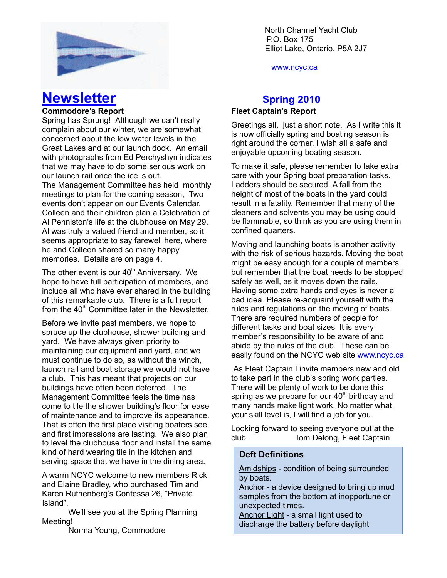

www.ncyc.ca

# **Newsletter Spring 2010**

#### **Commodore's Report**

Spring has Sprung! Although we can't really complain about our winter, we are somewhat concerned about the low water levels in the Great Lakes and at our launch dock. An email with photographs from Ed Perchyshyn indicates that we may have to do some serious work on our launch rail once the ice is out.

The Management Committee has held monthly meetings to plan for the coming season, Two events don't appear on our Events Calendar. Colleen and their children plan a Celebration of Al Penniston's life at the clubhouse on May 29. Al was truly a valued friend and member, so it seems appropriate to say farewell here, where he and Colleen shared so many happy memories. Details are on page 4.

The other event is our  $40<sup>th</sup>$  Anniversary. We hope to have full participation of members, and include all who have ever shared in the building of this remarkable club. There is a full report from the  $40<sup>th</sup>$  Committee later in the Newsletter.

Before we invite past members, we hope to spruce up the clubhouse, shower building and yard. We have always given priority to maintaining our equipment and yard, and we must continue to do so, as without the winch, launch rail and boat storage we would not have a club. This has meant that projects on our buildings have often been deferred. The Management Committee feels the time has come to tile the shower building's floor for ease of maintenance and to improve its appearance. That is often the first place visiting boaters see, and first impressions are lasting. We also plan to level the clubhouse floor and install the same kind of hard wearing tile in the kitchen and serving space that we have in the dining area.

A warm NCYC welcome to new members Rick and Elaine Bradley, who purchased Tim and Karen Ruthenberg's Contessa 26, "Private Island".

We'll see you at the Spring Planning Meeting!

Norma Young, Commodore

### **Fleet Captain's Report**

Greetings all, just a short note. As I write this it is now officially spring and boating season is right around the corner. I wish all a safe and enjoyable upcoming boating season.

To make it safe, please remember to take extra care with your Spring boat preparation tasks. Ladders should be secured. A fall from the height of most of the boats in the yard could result in a fatality. Remember that many of the cleaners and solvents you may be using could be flammable, so think as you are using them in confined quarters.

Moving and launching boats is another activity with the risk of serious hazards. Moving the boat might be easy enough for a couple of members but remember that the boat needs to be stopped safely as well, as it moves down the rails. Having some extra hands and eyes is never a bad idea. Please re-acquaint yourself with the rules and regulations on the moving of boats. There are required numbers of people for different tasks and boat sizes It is every member's responsibility to be aware of and abide by the rules of the club. These can be easily found on the NCYC web site www.ncyc.ca

 As Fleet Captain I invite members new and old to take part in the club's spring work parties. There will be plenty of work to be done this spring as we prepare for our  $40<sup>th</sup>$  birthday and many hands make light work. No matter what your skill level is, I will find a job for you.

Looking forward to seeing everyone out at the club. Tom Delong, Fleet Captain

#### **Deft Definitions**

Amidships - condition of being surrounded by boats.

Anchor - a device designed to bring up mud samples from the bottom at inopportune or unexpected times.

Anchor Light - a small light used to discharge the battery before daylight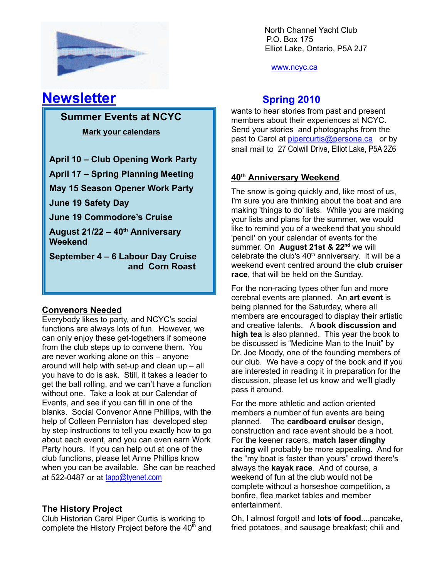

www.ncyc.ca

## **Newsletter Spring 2010**

 **Summer Events at NCYC**

 **Mark your calendars**

**April 10 – Club Opening Work Party**

**April 17 – Spring Planning Meeting**

**May 15 Season Opener Work Party**

**June 19 Safety Day**

**June 19 Commodore's Cruise**

**August 21/22 – 40th Anniversary Weekend**

**September 4 – 6 Labour Day Cruise and Corn Roast**

### **Convenors Needed**

Everybody likes to party, and NCYC's social functions are always lots of fun. However, we can only enjoy these get-togethers if someone from the club steps up to convene them. You are never working alone on this – anyone around will help with set-up and clean up – all you have to do is ask. Still, it takes a leader to get the ball rolling, and we can't have a function without one. Take a look at our Calendar of Events, and see if you can fill in one of the blanks. Social Convenor Anne Phillips, with the help of Colleen Penniston has developed step by step instructions to tell you exactly how to go about each event, and you can even earn Work Party hours. If you can help out at one of the club functions, please let Anne Phillips know when you can be available. She can be reached at 522-0487 or at tapp@tyenet.com

## **The History Project**

Club Historian Carol Piper Curtis is working to complete the History Project before the  $40<sup>th</sup>$  and

wants to hear stories from past and present members about their experiences at NCYC. Send your stories and photographs from the past to Carol at pipercurtis@persona.ca or by snail mail to 27 Colwill Drive, Elliot Lake, P5A 2Z6

## **40th Anniversary Weekend**

The snow is going quickly and, like most of us, I'm sure you are thinking about the boat and are making 'things to do' lists. While you are making your lists and plans for the summer, we would like to remind you of a weekend that you should 'pencil' on your calendar of events for the summer. On **August 21st & 22<sup>nd</sup>** we will celebrate the club's  $40<sup>th</sup>$  anniversary. It will be a weekend event centred around the **club cruiser race**, that will be held on the Sunday.

For the non-racing types other fun and more cerebral events are planned. An **art event** is being planned for the Saturday, where all members are encouraged to display their artistic and creative talents. A **book discussion and high tea** is also planned. This year the book to be discussed is "Medicine Man to the Inuit" by Dr. Joe Moody, one of the founding members of our club. We have a copy of the book and if you are interested in reading it in preparation for the discussion, please let us know and we'll gladly pass it around.

For the more athletic and action oriented members a number of fun events are being planned. The **cardboard cruiser** design, construction and race event should be a hoot. For the keener racers, **match laser dinghy racing** will probably be more appealing. And for the "my boat is faster than yours" crowd there's always the **kayak race**. And of course, a weekend of fun at the club would not be complete without a horseshoe competition, a bonfire, flea market tables and member entertainment.

Oh, I almost forgot! and **lots of food**....pancake, fried potatoes, and sausage breakfast; chili and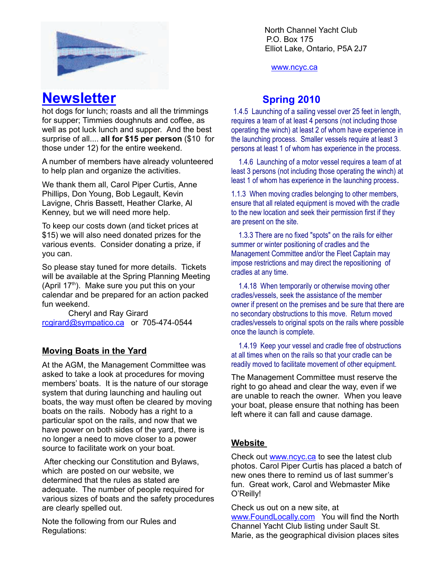

www.ncyc.ca

## **Newsletter Spring 2010**

hot dogs for lunch; roasts and all the trimmings for supper; Timmies doughnuts and coffee, as well as pot luck lunch and supper. And the best surprise of all.... **all for \$15 per person** (\$10 for those under 12) for the entire weekend.

A number of members have already volunteered to help plan and organize the activities.

We thank them all, Carol Piper Curtis, Anne Phillips, Don Young, Bob Legault, Kevin Lavigne, Chris Bassett, Heather Clarke, Al Kenney, but we will need more help.

To keep our costs down (and ticket prices at \$15) we will also need donated prizes for the various events. Consider donating a prize, if you can.

So please stay tuned for more details. Tickets will be available at the Spring Planning Meeting (April  $17<sup>th</sup>$ ). Make sure you put this on your calendar and be prepared for an action packed fun weekend.

Cheryl and Ray Girard rcgirard@sympatico.ca or 705-474-0544

### **Moving Boats in the Yard**

At the AGM, the Management Committee was asked to take a look at procedures for moving members' boats. It is the nature of our storage system that during launching and hauling out boats, the way must often be cleared by moving boats on the rails. Nobody has a right to a particular spot on the rails, and now that we have power on both sides of the yard, there is no longer a need to move closer to a power source to facilitate work on your boat.

 After checking our Constitution and Bylaws, which are posted on our website, we determined that the rules as stated are adequate. The number of people required for various sizes of boats and the safety procedures are clearly spelled out.

Note the following from our Rules and Regulations:

1.4.5 Launching of a sailing vessel over 25 feet in length, requires a team of at least 4 persons (not including those operating the winch) at least 2 of whom have experience in the launching process. Smaller vessels require at least 3 persons at least 1 of whom has experience in the process.

 1.4.6 Launching of a motor vessel requires a team of at least 3 persons (not including those operating the winch) at least 1 of whom has experience in the launching process.

1.1.3 When moving cradles belonging to other members, ensure that all related equipment is moved with the cradle to the new location and seek their permission first if they are present on the site.

 1.3.3 There are no fixed "spots" on the rails for either summer or winter positioning of cradles and the Management Committee and/or the Fleet Captain may impose restrictions and may direct the repositioning of cradles at any time.

 1.4.18 When temporarily or otherwise moving other cradles/vessels, seek the assistance of the member owner if present on the premises and be sure that there are no secondary obstructions to this move. Return moved cradles/vessels to original spots on the rails where possible once the launch is complete.

 1.4.19 Keep your vessel and cradle free of obstructions at all times when on the rails so that your cradle can be readily moved to facilitate movement of other equipment.

The Management Committee must reserve the right to go ahead and clear the way, even if we are unable to reach the owner. When you leave your boat, please ensure that nothing has been left where it can fall and cause damage.

#### **Website**

Check out www.ncyc.ca to see the latest club photos. Carol Piper Curtis has placed a batch of new ones there to remind us of last summer's fun. Great work, Carol and Webmaster Mike O'Reilly!

Check us out on a new site, at www.FoundLocally.com You will find the North Channel Yacht Club listing under Sault St. Marie, as the geographical division places sites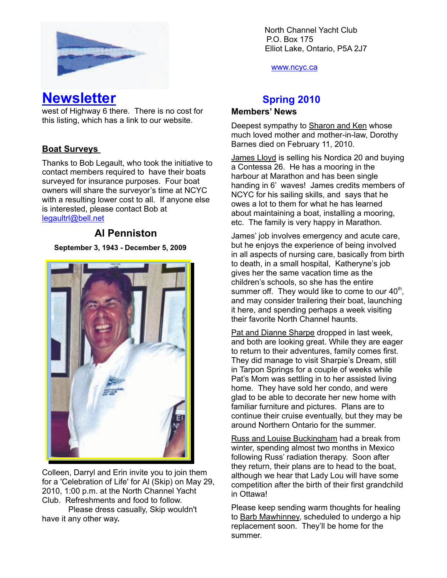

**Newsletter Spring 2010** 

west of Highway 6 there. There is no cost for this listing, which has a link to our website.

### **Boat Surveys**

Thanks to Bob Legault, who took the initiative to contact members required to have their boats surveyed for insurance purposes. Four boat owners will share the surveyor's time at NCYC with a resulting lower cost to all. If anyone else is interested, please contact Bob at legaultrl@bell.net

## **Al Penniston**

#### **September 3, 1943 - December 5, 2009**



Colleen, Darryl and Erin invite you to join them for a 'Celebration of Life' for Al (Skip) on May 29, 2010, 1:00 p.m. at the North Channel Yacht Club. Refreshments and food to follow.

Please dress casually, Skip wouldn't have it any other way**.**

North Channel Yacht Club \ P.O. Box 175 Elliot Lake, Ontario, P5A 2J7

www.ncyc.ca

#### **Members' News**

Deepest sympathy to Sharon and Ken whose much loved mother and mother-in-law, Dorothy Barnes died on February 11, 2010.

James Lloyd is selling his Nordica 20 and buying a Contessa 26. He has a mooring in the harbour at Marathon and has been single handing in 6' waves! James credits members of NCYC for his sailing skills, and says that he owes a lot to them for what he has learned about maintaining a boat, installing a mooring, etc. The family is very happy in Marathon.

James' job involves emergency and acute care, but he enjoys the experience of being involved in all aspects of nursing care, basically from birth to death, in a small hospital, Katheryne's job gives her the same vacation time as the children's schools, so she has the entire summer off. They would like to come to our  $40<sup>th</sup>$ , and may consider trailering their boat, launching it here, and spending perhaps a week visiting their favorite North Channel haunts.

Pat and Dianne Sharpe dropped in last week, and both are looking great. While they are eager to return to their adventures, family comes first. They did manage to visit Sharpie's Dream, still in Tarpon Springs for a couple of weeks while Pat's Mom was settling in to her assisted living home. They have sold her condo, and were glad to be able to decorate her new home with familiar furniture and pictures. Plans are to continue their cruise eventually, but they may be around Northern Ontario for the summer.

Russ and Louise Buckingham had a break from winter, spending almost two months in Mexico following Russ' radiation therapy. Soon after they return, their plans are to head to the boat, although we hear that Lady Lou will have some competition after the birth of their first grandchild in Ottawa!

Please keep sending warm thoughts for healing to Barb Mawhinney, scheduled to undergo a hip replacement soon. They'll be home for the summer.